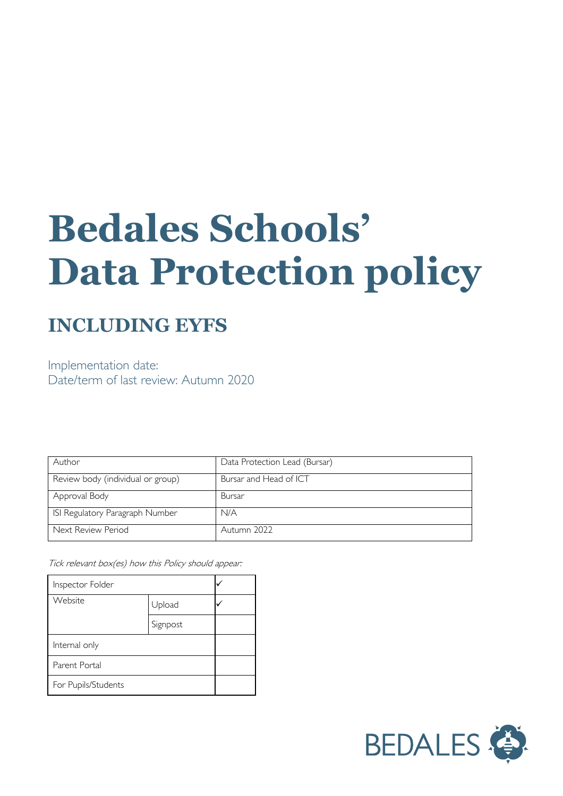# **Bedales Schools' Data Protection policy**

## **INCLUDING EYFS**

Implementation date: Date/term of last review: Autumn 2020

| Author                            | Data Protection Lead (Bursar) |
|-----------------------------------|-------------------------------|
| Review body (individual or group) | Bursar and Head of ICT        |
| Approval Body                     | Bursar                        |
| ISI Regulatory Paragraph Number   | N/A                           |
| Next Review Period                | Autumn 2022                   |

Tick relevant box(es) how this Policy should appear:

| Inspector Folder    |          |  |
|---------------------|----------|--|
| Website             | Upload   |  |
|                     | Signpost |  |
| Internal only       |          |  |
| Parent Portal       |          |  |
| For Pupils/Students |          |  |

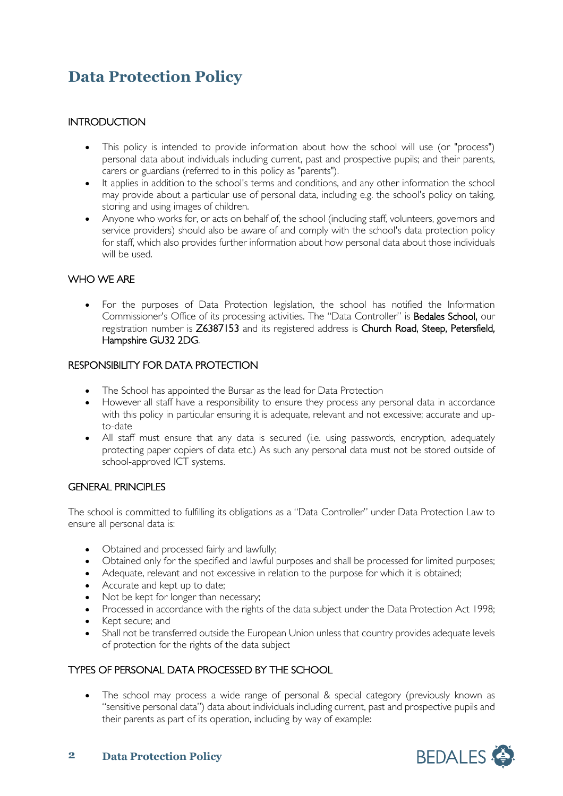### **Data Protection Policy**

#### **INTRODUCTION**

- This policy is intended to provide information about how the school will use (or "process") personal data about individuals including current, past and prospective pupils; and their parents, carers or guardians (referred to in this policy as "parents").
- It applies in addition to the school's terms and conditions, and any other information the school may provide about a particular use of personal data, including e.g. the school's policy on taking, storing and using images of children.
- Anyone who works for, or acts on behalf of, the school (including staff, volunteers, governors and service providers) should also be aware of and comply with the school's data protection policy for staff, which also provides further information about how personal data about those individuals will be used.

#### WHO WE ARE

• For the purposes of Data Protection legislation, the school has notified the Information Commissioner's Office of its processing activities. The "Data Controller" is Bedales School, our registration number is Z6387153 and its registered address is Church Road, Steep, Petersfield, Hampshire GU32 2DG.

#### RESPONSIBILITY FOR DATA PROTECTION

- The School has appointed the Bursar as the lead for Data Protection
- However all staff have a responsibility to ensure they process any personal data in accordance with this policy in particular ensuring it is adequate, relevant and not excessive; accurate and upto-date
- All staff must ensure that any data is secured (i.e. using passwords, encryption, adequately protecting paper copiers of data etc.) As such any personal data must not be stored outside of school-approved ICT systems.

#### GENERAL PRINCIPLES

The school is committed to fulfilling its obligations as a "Data Controller" under Data Protection Law to ensure all personal data is:

- Obtained and processed fairly and lawfully;
- Obtained only for the specified and lawful purposes and shall be processed for limited purposes;
- Adequate, relevant and not excessive in relation to the purpose for which it is obtained;
- Accurate and kept up to date;
- Not be kept for longer than necessary:
- Processed in accordance with the rights of the data subject under the Data Protection Act 1998;
- Kept secure; and
- Shall not be transferred outside the European Union unless that country provides adequate levels of protection for the rights of the data subject

#### TYPES OF PERSONAL DATA PROCESSED BY THE SCHOOL

• The school may process a wide range of personal & special category (previously known as "sensitive personal data") data about individuals including current, past and prospective pupils and their parents as part of its operation, including by way of example:

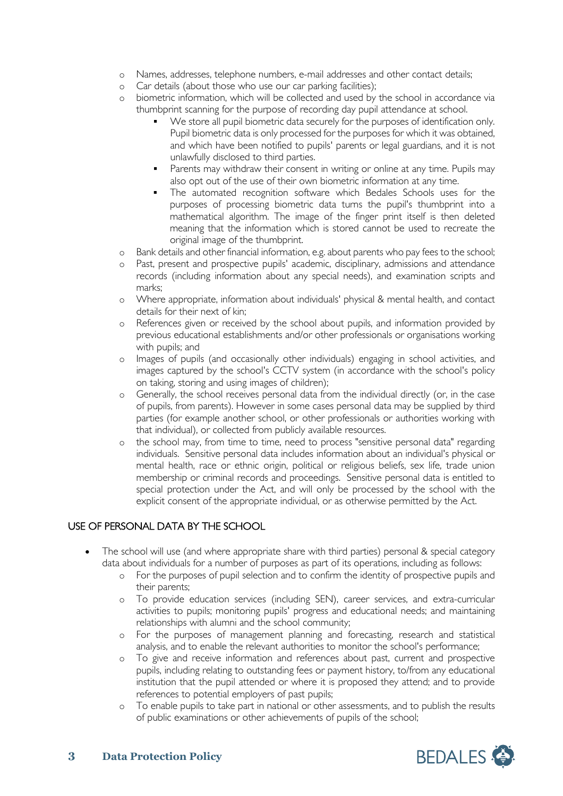- o Names, addresses, telephone numbers, e-mail addresses and other contact details;
- 
- o Car details (about those who use our car parking facilities);<br>o biometric information, which will be collected and used by biometric information, which will be collected and used by the school in accordance via thumbprint scanning for the purpose of recording day pupil attendance at school.
	- We store all pupil biometric data securely for the purposes of identification only. Pupil biometric data is only processed for the purposes for which it was obtained, and which have been notified to pupils' parents or legal guardians, and it is not unlawfully disclosed to third parties.
	- Parents may withdraw their consent in writing or online at any time. Pupils may also opt out of the use of their own biometric information at any time.
	- **The automated recognition software which Bedales Schools uses for the** purposes of processing biometric data turns the pupil's thumbprint into a mathematical algorithm. The image of the finger print itself is then deleted meaning that the information which is stored cannot be used to recreate the original image of the thumbprint.
- o Bank details and other financial information, e.g. about parents who pay fees to the school;
- o Past, present and prospective pupils' academic, disciplinary, admissions and attendance records (including information about any special needs), and examination scripts and marks;
- o Where appropriate, information about individuals' physical & mental health, and contact details for their next of kin;
- o References given or received by the school about pupils, and information provided by previous educational establishments and/or other professionals or organisations working with pupils; and
- o Images of pupils (and occasionally other individuals) engaging in school activities, and images captured by the school's CCTV system (in accordance with the school's policy on taking, storing and using images of children);
- o Generally, the school receives personal data from the individual directly (or, in the case of pupils, from parents). However in some cases personal data may be supplied by third parties (for example another school, or other professionals or authorities working with that individual), or collected from publicly available resources.
- o the school may, from time to time, need to process "sensitive personal data" regarding individuals. Sensitive personal data includes information about an individual's physical or mental health, race or ethnic origin, political or religious beliefs, sex life, trade union membership or criminal records and proceedings. Sensitive personal data is entitled to special protection under the Act, and will only be processed by the school with the explicit consent of the appropriate individual, or as otherwise permitted by the Act.

#### USE OF PERSONAL DATA BY THE SCHOOL

- The school will use (and where appropriate share with third parties) personal & special category data about individuals for a number of purposes as part of its operations, including as follows:
	- o For the purposes of pupil selection and to confirm the identity of prospective pupils and their parents;
	- o To provide education services (including SEN), career services, and extra-curricular activities to pupils; monitoring pupils' progress and educational needs; and maintaining relationships with alumni and the school community;
	- o For the purposes of management planning and forecasting, research and statistical analysis, and to enable the relevant authorities to monitor the school's performance;
	- o To give and receive information and references about past, current and prospective pupils, including relating to outstanding fees or payment history, to/from any educational institution that the pupil attended or where it is proposed they attend; and to provide references to potential employers of past pupils;
	- o To enable pupils to take part in national or other assessments, and to publish the results of public examinations or other achievements of pupils of the school;

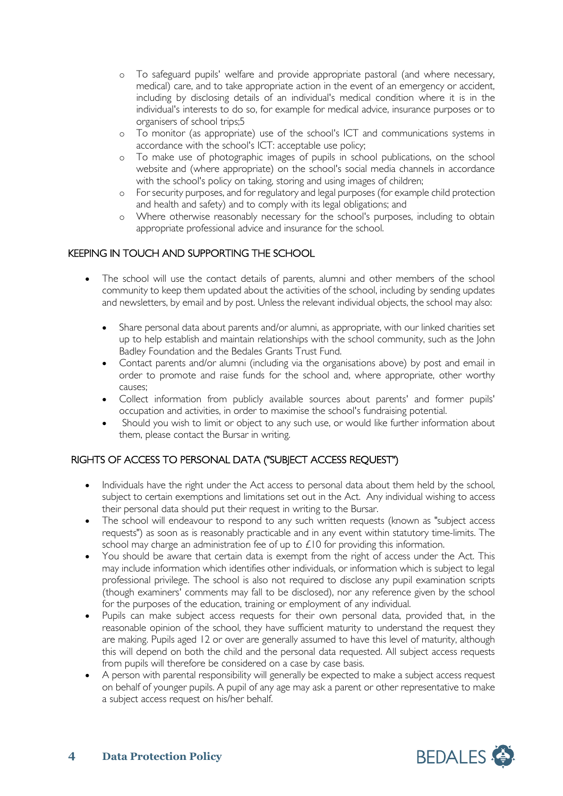- o To safeguard pupils' welfare and provide appropriate pastoral (and where necessary, medical) care, and to take appropriate action in the event of an emergency or accident, including by disclosing details of an individual's medical condition where it is in the individual's interests to do so, for example for medical advice, insurance purposes or to organisers of school trips;5
- o To monitor (as appropriate) use of the school's ICT and communications systems in accordance with the school's ICT: acceptable use policy;
- o To make use of photographic images of pupils in school publications, on the school website and (where appropriate) on the school's social media channels in accordance with the school's policy on taking, storing and using images of children;
- o For security purposes, and for regulatory and legal purposes (for example child protection and health and safety) and to comply with its legal obligations; and
- o Where otherwise reasonably necessary for the school's purposes, including to obtain appropriate professional advice and insurance for the school.

#### KEEPING IN TOUCH AND SUPPORTING THE SCHOOL

- The school will use the contact details of parents, alumni and other members of the school community to keep them updated about the activities of the school, including by sending updates and newsletters, by email and by post. Unless the relevant individual objects, the school may also:
	- Share personal data about parents and/or alumni, as appropriate, with our linked charities set up to help establish and maintain relationships with the school community, such as the John Badley Foundation and the Bedales Grants Trust Fund.
	- Contact parents and/or alumni (including via the organisations above) by post and email in order to promote and raise funds for the school and, where appropriate, other worthy causes;
	- Collect information from publicly available sources about parents' and former pupils' occupation and activities, in order to maximise the school's fundraising potential.
	- Should you wish to limit or object to any such use, or would like further information about them, please contact the Bursar in writing.

#### RIGHTS OF ACCESS TO PERSONAL DATA ("SUBJECT ACCESS REQUEST")

- Individuals have the right under the Act access to personal data about them held by the school, subject to certain exemptions and limitations set out in the Act. Any individual wishing to access their personal data should put their request in writing to the Bursar.
- The school will endeavour to respond to any such written requests (known as "subject access requests") as soon as is reasonably practicable and in any event within statutory time-limits. The school may charge an administration fee of up to £10 for providing this information.
- You should be aware that certain data is exempt from the right of access under the Act. This may include information which identifies other individuals, or information which is subject to legal professional privilege. The school is also not required to disclose any pupil examination scripts (though examiners' comments may fall to be disclosed), nor any reference given by the school for the purposes of the education, training or employment of any individual.
- Pupils can make subject access requests for their own personal data, provided that, in the reasonable opinion of the school, they have sufficient maturity to understand the request they are making. Pupils aged 12 or over are generally assumed to have this level of maturity, although this will depend on both the child and the personal data requested. All subject access requests from pupils will therefore be considered on a case by case basis.
- A person with parental responsibility will generally be expected to make a subject access request on behalf of younger pupils. A pupil of any age may ask a parent or other representative to make a subject access request on his/her behalf.